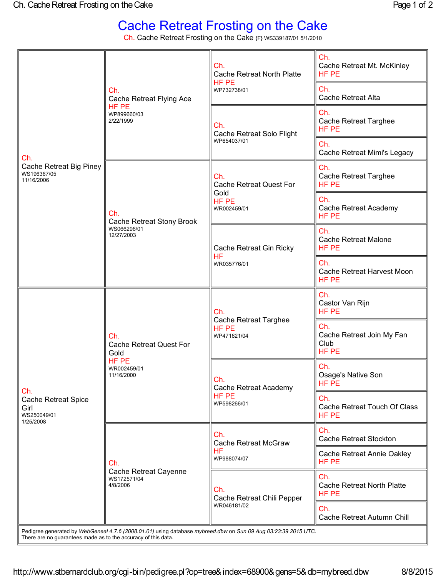## Cache Retreat Frosting on the Cake

Ch. Cache Retreat Frosting on the Cake {F} WS339187/01 5/1/2010

| Ch.<br>Cache Retreat Big Piney<br>WS196367/05<br>11/16/2006                                                                                                                     | Ch.<br>Cache Retreat Flying Ace<br>HF PE<br>WP899660/03<br>2/22/1999                | Ch.<br><b>Cache Retreat North Platte</b><br>HF PE<br>WP732738/01      | Ch.<br>Cache Retreat Mt. McKinley<br>HF PE<br>Ch.<br><b>Cache Retreat Alta</b> |
|---------------------------------------------------------------------------------------------------------------------------------------------------------------------------------|-------------------------------------------------------------------------------------|-----------------------------------------------------------------------|--------------------------------------------------------------------------------|
|                                                                                                                                                                                 |                                                                                     | Ch.<br>Cache Retreat Solo Flight<br>WP654037/01                       | Ch.<br><b>Cache Retreat Targhee</b><br>HF PE                                   |
|                                                                                                                                                                                 |                                                                                     |                                                                       | Ch.<br>Cache Retreat Mimi's Legacy                                             |
|                                                                                                                                                                                 | Ch.<br>Cache Retreat Stony Brook<br>WS066296/01<br>12/27/2003                       | Ch.<br><b>Cache Retreat Quest For</b><br>Gold<br>HF PE<br>WR002459/01 | Ch.<br><b>Cache Retreat Targhee</b><br>HF PE                                   |
|                                                                                                                                                                                 |                                                                                     |                                                                       | Ch.<br>Cache Retreat Academy<br>HF PE                                          |
|                                                                                                                                                                                 |                                                                                     | Cache Retreat Gin Ricky<br><b>HF</b><br>WR035776/01                   | Ch.<br><b>Cache Retreat Malone</b><br>HF PE                                    |
|                                                                                                                                                                                 |                                                                                     |                                                                       | Ch.<br>Cache Retreat Harvest Moon<br>HF PE                                     |
| Ch.<br><b>Cache Retreat Spice</b><br>Girl<br>WS250049/01<br>1/25/2008                                                                                                           | Ch.<br><b>Cache Retreat Quest For</b><br>Gold<br>HF PE<br>WR002459/01<br>11/16/2000 | Ch.<br>Cache Retreat Targhee<br>HF PE<br>WP471621/04                  | Ch.<br>Castor Van Rijn<br>HF PE                                                |
|                                                                                                                                                                                 |                                                                                     |                                                                       | Ch.<br>Cache Retreat Join My Fan<br>Club<br>HF PE                              |
|                                                                                                                                                                                 |                                                                                     | Ch.<br>Cache Retreat Academy<br>HF PE<br>WP598266/01                  | Ch.<br>Osage's Native Son<br>HF PE                                             |
|                                                                                                                                                                                 |                                                                                     |                                                                       | Ch.<br>Cache Retreat Touch Of Class<br>HF PE                                   |
|                                                                                                                                                                                 | Ch.<br>Cache Retreat Cayenne<br>WS172571/04<br>4/8/2006                             | Ch.<br><b>Cache Retreat McGraw</b><br><b>HF</b><br>WP988074/07        | Ch.<br>Cache Retreat Stockton                                                  |
|                                                                                                                                                                                 |                                                                                     |                                                                       | Cache Retreat Annie Oakley<br>HF PE                                            |
|                                                                                                                                                                                 |                                                                                     | Ch.<br>Cache Retreat Chili Pepper<br>WR046181/02                      | Ch.<br><b>Cache Retreat North Platte</b><br>HF PE                              |
|                                                                                                                                                                                 |                                                                                     |                                                                       | Ch.<br>Cache Retreat Autumn Chill                                              |
| Pedigree generated by WebGeneal 4.7.6 (2008.01.01) using database mybreed.dbw on Sun 09 Aug 03:23:39 2015 UTC.<br>There are no guarantees made as to the accuracy of this data. |                                                                                     |                                                                       |                                                                                |